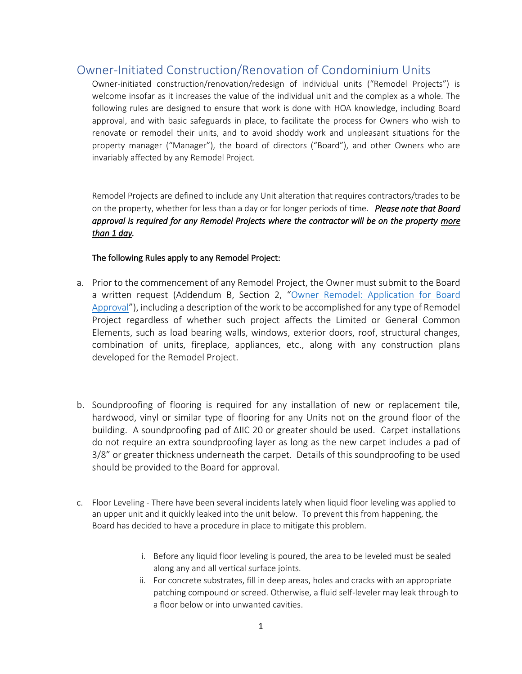### Owner-Initiated Construction/Renovation of Condominium Units

Owner-initiated construction/renovation/redesign of individual units ("Remodel Projects") is welcome insofar as it increases the value of the individual unit and the complex as a whole. The following rules are designed to ensure that work is done with HOA knowledge, including Board approval, and with basic safeguards in place, to facilitate the process for Owners who wish to renovate or remodel their units, and to avoid shoddy work and unpleasant situations for the property manager ("Manager"), the board of directors ("Board"), and other Owners who are invariably affected by any Remodel Project.

Remodel Projects are defined to include any Unit alteration that requires contractors/trades to be on the property, whether for less than a day or for longer periods of time. *Please note that Board approval is required for any Remodel Projects where the contractor will be on the property more than 1 day.* 

#### The following Rules apply to any Remodel Project:

- a. Prior to the commencement of any Remodel Project, the Owner must submit to the Board a written request (Addendum B, Section 2, "[Owner Remodel: Application for Board](#page-7-0)  [Approval](#page-7-0)"), including a description of the work to be accomplished for any type of Remodel Project regardless of whether such project affects the Limited or General Common Elements, such as load bearing walls, windows, exterior doors, roof, structural changes, combination of units, fireplace, appliances, etc., along with any construction plans developed for the Remodel Project.
- b. Soundproofing of flooring is required for any installation of new or replacement tile, hardwood, vinyl or similar type of flooring for any Units not on the ground floor of the building. A soundproofing pad of ΔIIC 20 or greater should be used. Carpet installations do not require an extra soundproofing layer as long as the new carpet includes a pad of 3/8" or greater thickness underneath the carpet. Details of this soundproofing to be used should be provided to the Board for approval.
- c. Floor Leveling There have been several incidents lately when liquid floor leveling was applied to an upper unit and it quickly leaked into the unit below. To prevent this from happening, the Board has decided to have a procedure in place to mitigate this problem.
	- i. Before any liquid floor leveling is poured, the area to be leveled must be sealed along any and all vertical surface joints.
	- ii. For concrete substrates, fill in deep areas, holes and cracks with an appropriate patching compound or screed. Otherwise, a fluid self-leveler may leak through to a floor below or into unwanted cavities.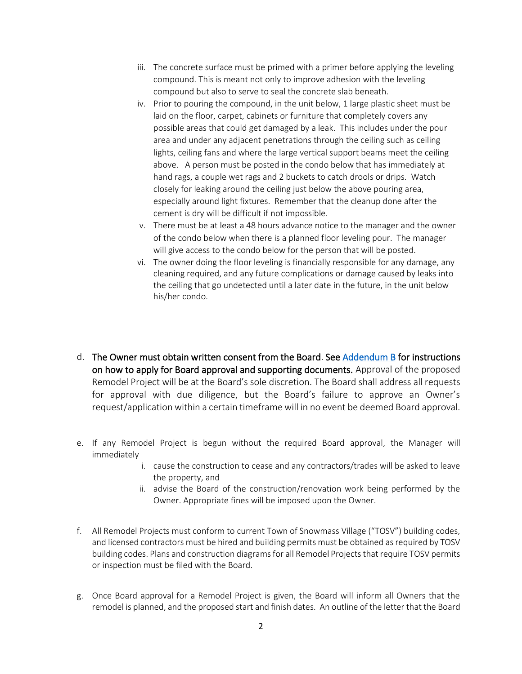- iii. The concrete surface must be primed with a primer before applying the leveling compound. This is meant not only to improve adhesion with the leveling compound but also to serve to seal the concrete slab beneath.
- iv. Prior to pouring the compound, in the unit below, 1 large plastic sheet must be laid on the floor, carpet, cabinets or furniture that completely covers any possible areas that could get damaged by a leak. This includes under the pour area and under any adjacent penetrations through the ceiling such as ceiling lights, ceiling fans and where the large vertical support beams meet the ceiling above. A person must be posted in the condo below that has immediately at hand rags, a couple wet rags and 2 buckets to catch drools or drips. Watch closely for leaking around the ceiling just below the above pouring area, especially around light fixtures. Remember that the cleanup done after the cement is dry will be difficult if not impossible.
- v. There must be at least a 48 hours advance notice to the manager and the owner of the condo below when there is a planned floor leveling pour. The manager will give access to the condo below for the person that will be posted.
- vi. The owner doing the floor leveling is financially responsible for any damage, any cleaning required, and any future complications or damage caused by leaks into the ceiling that go undetected until a later date in the future, in the unit below his/her condo.
- d. The Owner must obtain written consent from the Board. See [Addendum B](#page-6-0) for instructions on how to apply for Board approval and supporting documents. Approval of the proposed Remodel Project will be at the Board's sole discretion. The Board shall address all requests for approval with due diligence, but the Board's failure to approve an Owner's request/application within a certain timeframe will in no event be deemed Board approval.
- e. If any Remodel Project is begun without the required Board approval, the Manager will immediately
	- i. cause the construction to cease and any contractors/trades will be asked to leave the property, and
	- ii. advise the Board of the construction/renovation work being performed by the Owner. Appropriate fines will be imposed upon the Owner.
- f. All Remodel Projects must conform to current Town of Snowmass Village ("TOSV") building codes, and licensed contractors must be hired and building permits must be obtained as required by TOSV building codes. Plans and construction diagrams for all Remodel Projects that require TOSV permits or inspection must be filed with the Board.
- g. Once Board approval for a Remodel Project is given, the Board will inform all Owners that the remodel is planned, and the proposed start and finish dates. An outline of the letter that the Board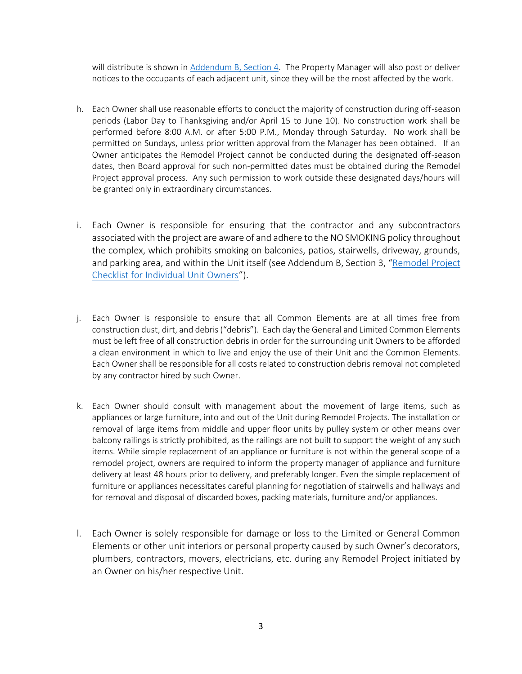will distribute is shown in [Addendum B, Section 4.](#page-11-0) The Property Manager will also post or deliver notices to the occupants of each adjacent unit, since they will be the most affected by the work.

- h. Each Owner shall use reasonable efforts to conduct the majority of construction during off-season periods (Labor Day to Thanksgiving and/or April 15 to June 10). No construction work shall be performed before 8:00 A.M. or after 5:00 P.M., Monday through Saturday. No work shall be permitted on Sundays, unless prior written approval from the Manager has been obtained. If an Owner anticipates the Remodel Project cannot be conducted during the designated off-season dates, then Board approval for such non-permitted dates must be obtained during the Remodel Project approval process. Any such permission to work outside these designated days/hours will be granted only in extraordinary circumstances.
- i. Each Owner is responsible for ensuring that the contractor and any subcontractors associated with the project are aware of and adhere to the NO SMOKING policy throughout the complex, which prohibits smoking on balconies, patios, stairwells, driveway, grounds, and parking area, and within the Unit itself (see Addendum B, Section 3, "[Remodel Project](#page-9-0)  [Checklist for Individual Unit Owners](#page-9-0)").
- j. Each Owner is responsible to ensure that all Common Elements are at all times free from construction dust, dirt, and debris ("debris"). Each day the General and Limited Common Elements must be left free of all construction debris in order for the surrounding unit Owners to be afforded a clean environment in which to live and enjoy the use of their Unit and the Common Elements. Each Owner shall be responsible for all costs related to construction debris removal not completed by any contractor hired by such Owner.
- k. Each Owner should consult with management about the movement of large items, such as appliances or large furniture, into and out of the Unit during Remodel Projects. The installation or removal of large items from middle and upper floor units by pulley system or other means over balcony railings is strictly prohibited, as the railings are not built to support the weight of any such items. While simple replacement of an appliance or furniture is not within the general scope of a remodel project, owners are required to inform the property manager of appliance and furniture delivery at least 48 hours prior to delivery, and preferably longer. Even the simple replacement of furniture or appliances necessitates careful planning for negotiation of stairwells and hallways and for removal and disposal of discarded boxes, packing materials, furniture and/or appliances.
- l. Each Owner is solely responsible for damage or loss to the Limited or General Common Elements or other unit interiors or personal property caused by such Owner's decorators, plumbers, contractors, movers, electricians, etc. during any Remodel Project initiated by an Owner on his/her respective Unit.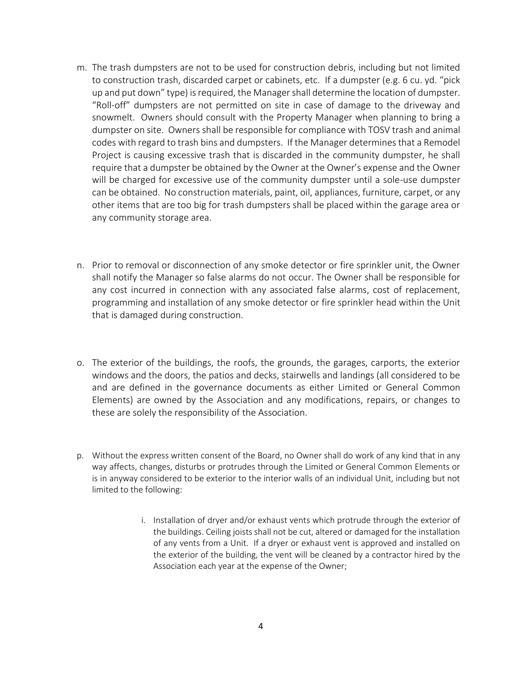- m. The trash dumpsters are not to be used for construction debris, including but not limited to construction trash, discarded carpet or cabinets, etc. If a dumpster (e.g. 6 cu. yd. "pick up and put down" type) is required, the Manager shall determine the location of dumpster. "Roll-off" dumpsters are not permitted on site in case of damage to the driveway and snowmelt. Owners should consult with the Property Manager when planning to bring a dumpster on site. Owners shall be responsible for compliance with TOSV trash and animal codes with regard to trash bins and dumpsters. If the Manager determines that a Remodel Project is causing excessive trash that is discarded in the community dumpster, he shall require that a dumpster be obtained by the Owner at the Owner's expense and the Owner will be charged for excessive use of the community dumpster until a sole-use dumpster can be obtained. No construction materials, paint, oil, appliances, furniture, carpet, or any other items that are too big for trash dumpsters shall be placed within the garage area or any community storage area.
- n. Prior to removal or disconnection of any smoke detector or fire sprinkler unit, the Owner shall notify the Manager so false alarms do not occur. The Owner shall be responsible for any cost incurred in connection with any associated false alarms, cost of replacement, programming and installation of any smoke detector or fire sprinkler head within the Unit that is damaged during construction.
- o. The exterior of the buildings, the roofs, the grounds, the garages, carports, the exterior windows and the doors, the patios and decks, stairwells and landings (all considered to be and are defined in the governance documents as either Limited or General Common Elements) are owned by the Association and any modifications, repairs, or changes to these are solely the responsibility of the Association.
- p. Without the express written consent of the Board, no Owner shall do work of any kind that in any way affects, changes, disturbs or protrudes through the Limited or General Common Elements or is in anyway considered to be exterior to the interior walls of an individual Unit, including but not limited to the following:
	- i. Installation of dryer and/or exhaust vents which protrude through the exterior of the buildings. Ceiling joists shall not be cut, altered or damaged for the installation of any vents from a Unit. If a dryer or exhaust vent is approved and installed on the exterior of the building, the vent will be cleaned by a contractor hired by the Association each year at the expense of the Owner;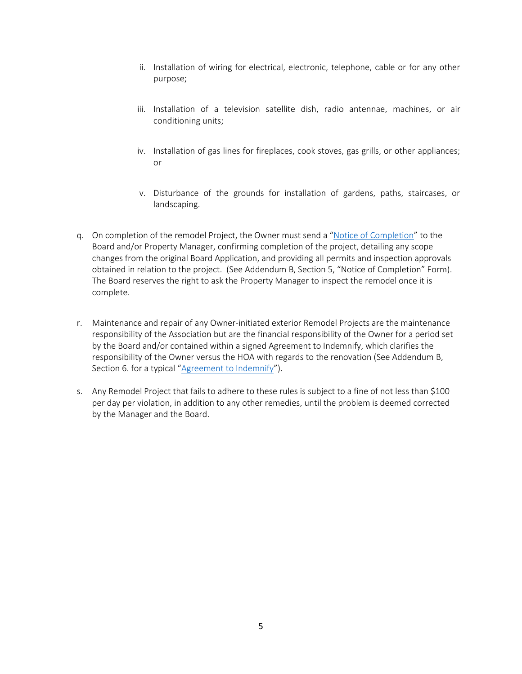- ii. Installation of wiring for electrical, electronic, telephone, cable or for any other purpose;
- iii. Installation of a television satellite dish, radio antennae, machines, or air conditioning units;
- iv. Installation of gas lines for fireplaces, cook stoves, gas grills, or other appliances; or
- v. Disturbance of the grounds for installation of gardens, paths, staircases, or landscaping.
- q. On completion of the remodel Project, the Owner must send a "[Notice of Completion](#page-12-0)" to the Board and/or Property Manager, confirming completion of the project, detailing any scope changes from the original Board Application, and providing all permits and inspection approvals obtained in relation to the project. (See Addendum B, Section 5, "Notice of Completion" Form). The Board reserves the right to ask the Property Manager to inspect the remodel once it is complete.
- r. Maintenance and repair of any Owner-initiated exterior Remodel Projects are the maintenance responsibility of the Association but are the financial responsibility of the Owner for a period set by the Board and/or contained within a signed Agreement to Indemnify, which clarifies the responsibility of the Owner versus the HOA with regards to the renovation (See Addendum B, Section 6. for a typical "[Agreement to Indemnify](#page-12-1)").
- s. Any Remodel Project that fails to adhere to these rules is subject to a fine of not less than \$100 per day per violation, in addition to any other remedies, until the problem is deemed corrected by the Manager and the Board.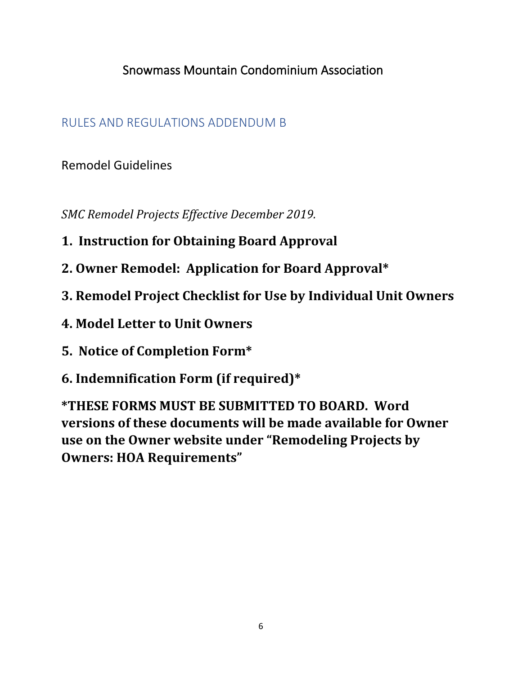## Snowmass Mountain Condominium Association

### RULES AND REGULATIONS ADDENDUM B

Remodel Guidelines

*SMC Remodel Projects Effective December 2019.* 

- **1. Instruction for Obtaining Board Approval**
- **2. Owner Remodel: Application for Board Approval\***
- **3. Remodel Project Checklist for Use by Individual Unit Owners**
- **4. Model Letter to Unit Owners**
- **5. Notice of Completion Form\***
- **6. Indemnification Form (if required)\***

**\*THESE FORMS MUST BE SUBMITTED TO BOARD. Word versions of these documents will be made available for Owner use on the Owner website under "Remodeling Projects by Owners: HOA Requirements"**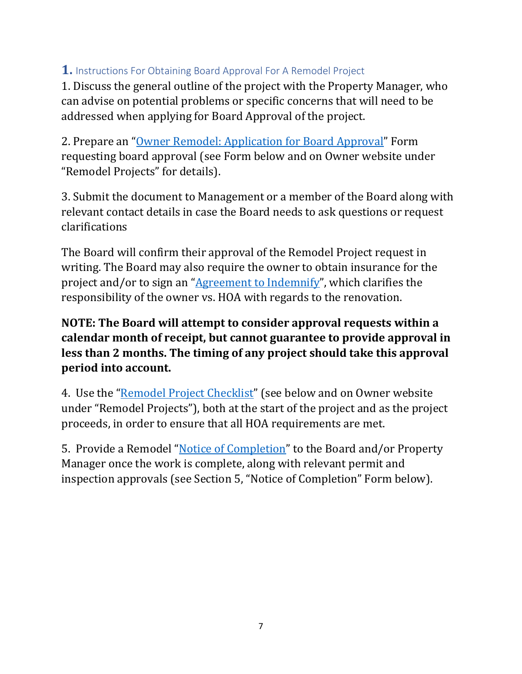### <span id="page-6-0"></span>**1.** Instructions For Obtaining Board Approval For A Remodel Project

1. Discuss the general outline of the project with the Property Manager, who can advise on potential problems or specific concerns that will need to be addressed when applying for Board Approval of the project.

2. Prepare an "[Owner Remodel: Application for Board Approval](#page-7-0)" Form requesting board approval (see Form below and on Owner website under "Remodel Projects" for details).

3. Submit the document to Management or a member of the Board along with relevant contact details in case the Board needs to ask questions or request clarifications

The Board will confirm their approval of the Remodel Project request in writing. The Board may also require the owner to obtain insurance for the project and/or to sign an "[Agreement to Indemnify](#page-12-1)", which clarifies the responsibility of the owner vs. HOA with regards to the renovation.

### **NOTE: The Board will attempt to consider approval requests within a calendar month of receipt, but cannot guarantee to provide approval in less than 2 months. The timing of any project should take this approval period into account.**

4.Use the "[Remodel Project Checklist](#page-9-0)" (see below and on Owner website under "Remodel Projects"), both at the start of the project and as the project proceeds, in order to ensure that all HOA requirements are met.

5. Provide a Remodel "[Notice of Completion](#page-12-0)" to the Board and/or Property Manager once the work is complete, along with relevant permit and inspection approvals (see Section 5, "Notice of Completion" Form below).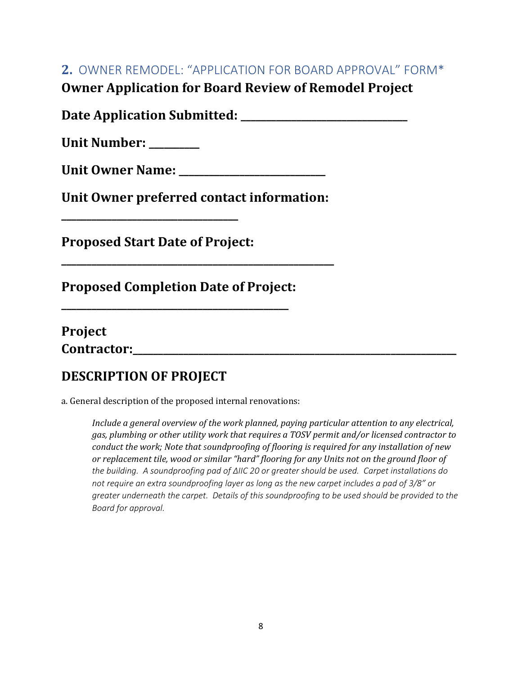### <span id="page-7-0"></span>**2.** OWNER REMODEL: "APPLICATION FOR BOARD APPROVAL" FORM\*

**Owner Application for Board Review of Remodel Project** 

**Date Application Submitted: \_\_\_\_\_\_\_\_\_\_\_\_\_\_\_\_\_\_\_\_\_\_\_\_\_\_\_\_\_\_\_\_\_** 

**Unit Number:** 

Unit Owner Name:

**Unit Owner preferred contact information:** 

**\_\_\_\_\_\_\_\_\_\_\_\_\_\_\_\_\_\_\_\_\_\_\_\_\_\_\_\_\_\_\_\_\_\_\_\_\_\_\_\_\_\_\_\_\_\_\_\_\_\_\_\_\_\_** 

**Proposed Start Date of Project:** 

**\_\_\_\_\_\_\_\_\_\_\_\_\_\_\_\_\_\_\_\_\_\_\_\_\_\_\_\_\_\_\_\_\_\_\_** 

**Proposed Completion Date of Project:** 

**\_\_\_\_\_\_\_\_\_\_\_\_\_\_\_\_\_\_\_\_\_\_\_\_\_\_\_\_\_\_\_\_\_\_\_\_\_\_\_\_\_\_\_\_\_** 

| Project            |  |  |  |
|--------------------|--|--|--|
| <b>Contractor:</b> |  |  |  |

# **DESCRIPTION OF PROJECT**

a. General description of the proposed internal renovations:

*Include a general overview of the work planned, paying particular attention to any electrical, gas, plumbing or other utility work that requires a TOSV permit and/or licensed contractor to conduct the work; Note that soundproofing of flooring is required for any installation of new or replacement tile, wood or similar "hard" flooring for any Units not on the ground floor of the building. A soundproofing pad of ΔIIC 20 or greater should be used. Carpet installations do not require an extra soundproofing layer as long as the new carpet includes a pad of 3/8" or greater underneath the carpet. Details of this soundproofing to be used should be provided to the Board for approval.*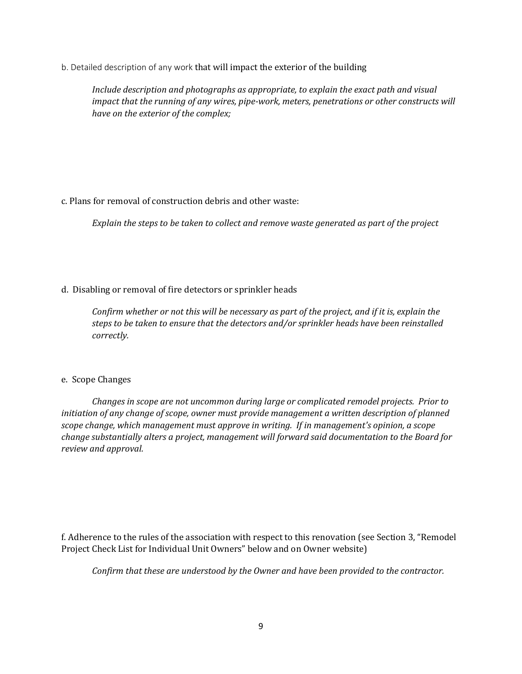b. Detailed description of any work that will impact the exterior of the building

*Include description and photographs as appropriate, to explain the exact path and visual impact that the running of any wires, pipe-work, meters, penetrations or other constructs will have on the exterior of the complex;* 

#### c. Plans for removal of construction debris and other waste:

*Explain the steps to be taken to collect and remove waste generated as part of the project*

#### d. Disabling or removal of fire detectors or sprinkler heads

*Confirm whether or not this will be necessary as part of the project, and if it is, explain the steps to be taken to ensure that the detectors and/or sprinkler heads have been reinstalled correctly.*

#### e. Scope Changes

*Changes in scope are not uncommon during large or complicated remodel projects. Prior to initiation of any change of scope, owner must provide management a written description of planned scope change, which management must approve in writing. If in management's opinion, a scope change substantially alters a project, management will forward said documentation to the Board for review and approval.* 

f. Adherence to the rules of the association with respect to this renovation (see Section 3, "Remodel Project Check List for Individual Unit Owners" below and on Owner website)

*Confirm that these are understood by the Owner and have been provided to the contractor.*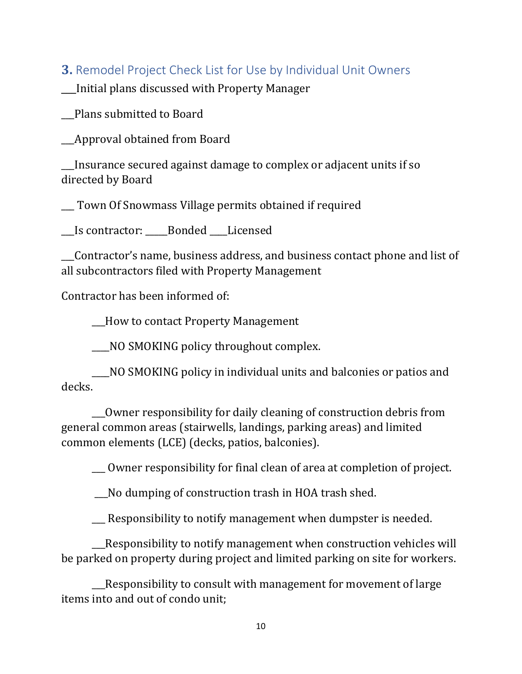### <span id="page-9-0"></span>**3.** Remodel Project Check List for Use by Individual Unit Owners

\_\_\_Initial plans discussed with Property Manager

\_\_\_Plans submitted to Board

\_\_\_Approval obtained from Board

\_\_\_Insurance secured against damage to complex or adjacent units if so directed by Board

\_\_\_ Town Of Snowmass Village permits obtained if required

\_\_\_Is contractor: \_\_\_\_\_Bonded \_\_\_\_Licensed

\_\_\_Contractor's name, business address, and business contact phone and list of all subcontractors filed with Property Management

Contractor has been informed of:

\_\_\_How to contact Property Management

\_\_\_\_NO SMOKING policy throughout complex.

\_\_\_\_NO SMOKING policy in individual units and balconies or patios and decks.

\_\_\_Owner responsibility for daily cleaning of construction debris from general common areas (stairwells, landings, parking areas) and limited common elements (LCE) (decks, patios, balconies).

\_\_\_ Owner responsibility for final clean of area at completion of project.

\_\_\_No dumping of construction trash in HOA trash shed.

\_\_\_ Responsibility to notify management when dumpster is needed.

\_\_\_Responsibility to notify management when construction vehicles will be parked on property during project and limited parking on site for workers.

\_\_\_Responsibility to consult with management for movement of large items into and out of condo unit;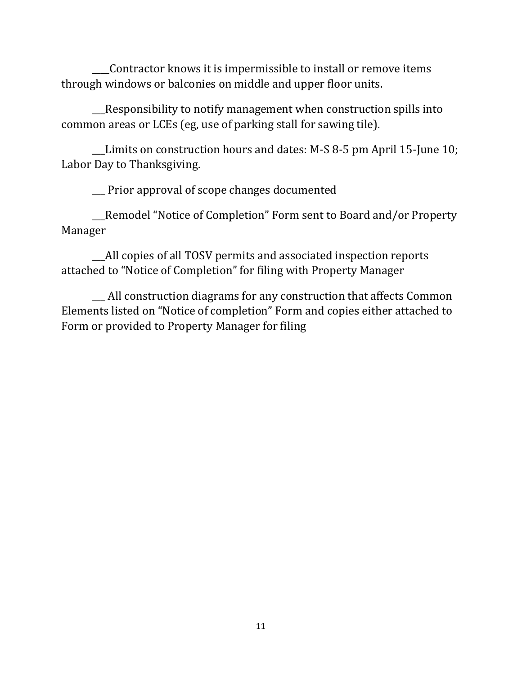\_\_\_\_Contractor knows it is impermissible to install or remove items through windows or balconies on middle and upper floor units.

\_\_\_Responsibility to notify management when construction spills into common areas or LCEs (eg, use of parking stall for sawing tile).

\_\_\_Limits on construction hours and dates: M-S 8-5 pm April 15-June 10; Labor Day to Thanksgiving.

\_\_\_ Prior approval of scope changes documented

\_\_\_Remodel "Notice of Completion" Form sent to Board and/or Property Manager

\_\_\_All copies of all TOSV permits and associated inspection reports attached to "Notice of Completion" for filing with Property Manager

\_\_\_ All construction diagrams for any construction that affects Common Elements listed on "Notice of completion" Form and copies either attached to Form or provided to Property Manager for filing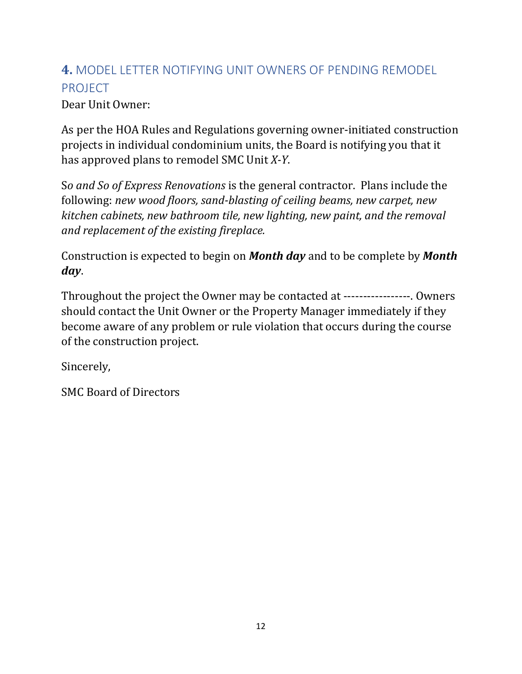# <span id="page-11-0"></span>**4.** MODEL LETTER NOTIFYING UNIT OWNERS OF PENDING REMODEL PROJECT

Dear Unit Owner:

As per the HOA Rules and Regulations governing owner-initiated construction projects in individual condominium units, the Board is notifying you that it has approved plans to remodel SMC Unit *X-Y*.

S*o and So of Express Renovations* is the general contractor. Plans include the following: *new wood floors, sand-blasting of ceiling beams, new carpet, new kitchen cabinets, new bathroom tile, new lighting, new paint, and the removal and replacement of the existing fireplace.*

Construction is expected to begin on *Month day* and to be complete by *Month day*.

Throughout the project the Owner may be contacted at -----------------. Owners should contact the Unit Owner or the Property Manager immediately if they become aware of any problem or rule violation that occurs during the course of the construction project.

Sincerely,

SMC Board of Directors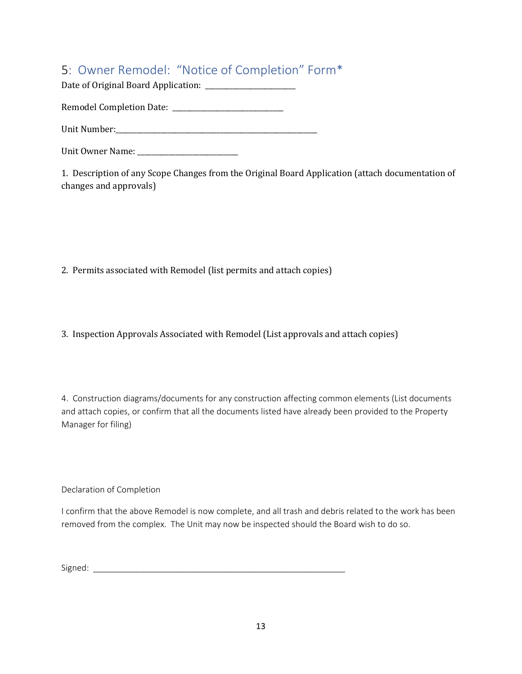# <span id="page-12-0"></span>5: Owner Remodel: "Notice of Completion" Form\*

Date of Original Board Application: \_\_\_\_\_\_\_\_\_\_\_\_\_\_\_\_\_\_\_\_\_\_\_\_\_\_

Remodel Completion Date: \_\_\_\_\_\_\_\_\_\_\_\_\_\_\_\_\_\_\_\_\_\_\_\_\_\_\_\_\_\_\_\_

Unit Number:\_\_\_\_\_\_\_\_\_\_\_\_\_\_\_\_\_\_\_\_\_\_\_\_\_\_\_\_\_\_\_\_\_\_\_\_\_\_\_\_\_\_\_\_\_\_\_\_\_\_\_\_\_\_\_\_\_\_

Unit Owner Name: \_\_\_\_\_\_\_\_\_\_\_\_\_\_\_\_\_\_\_\_\_\_\_\_\_\_\_\_\_

1. Description of any Scope Changes from the Original Board Application (attach documentation of changes and approvals)

2. Permits associated with Remodel (list permits and attach copies)

3. Inspection Approvals Associated with Remodel (List approvals and attach copies)

4. Construction diagrams/documents for any construction affecting common elements (List documents and attach copies, or confirm that all the documents listed have already been provided to the Property Manager for filing)

Declaration of Completion

I confirm that the above Remodel is now complete, and all trash and debris related to the work has been removed from the complex. The Unit may now be inspected should the Board wish to do so.

<span id="page-12-1"></span>Signed: \_\_\_\_\_\_\_\_\_\_\_\_\_\_\_\_\_\_\_\_\_\_\_\_\_\_\_\_\_\_\_\_\_\_\_\_\_\_\_\_\_\_\_\_\_\_\_\_\_\_\_\_\_\_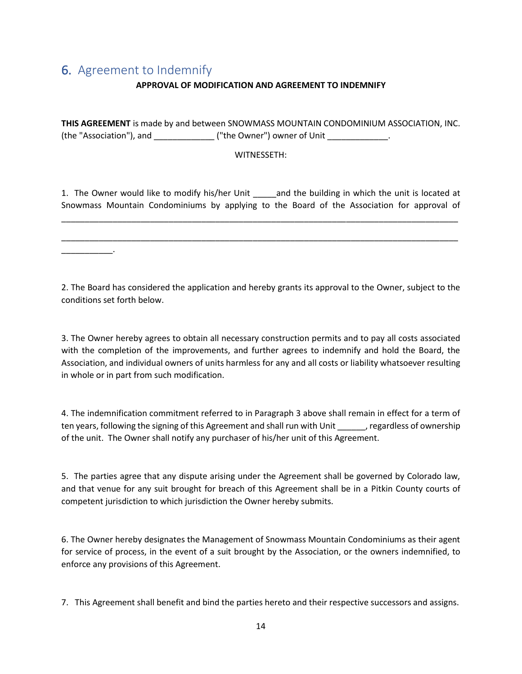### 6. Agreement to Indemnify

\_\_\_\_\_\_\_\_\_\_\_.

#### **APPROVAL OF MODIFICATION AND AGREEMENT TO INDEMNIFY**

**THIS AGREEMENT** is made by and between SNOWMASS MOUNTAIN CONDOMINIUM ASSOCIATION, INC. (the "Association"), and \_\_\_\_\_\_\_\_\_\_\_\_\_\_ ("the Owner") owner of Unit \_\_\_\_\_\_\_\_\_\_\_\_\_.

#### WITNESSETH:

1. The Owner would like to modify his/her Unit \_\_\_\_\_and the building in which the unit is located at Snowmass Mountain Condominiums by applying to the Board of the Association for approval of

\_\_\_\_\_\_\_\_\_\_\_\_\_\_\_\_\_\_\_\_\_\_\_\_\_\_\_\_\_\_\_\_\_\_\_\_\_\_\_\_\_\_\_\_\_\_\_\_\_\_\_\_\_\_\_\_\_\_\_\_\_\_\_\_\_\_\_\_\_\_\_\_\_\_\_\_\_\_\_\_\_\_\_\_\_

\_\_\_\_\_\_\_\_\_\_\_\_\_\_\_\_\_\_\_\_\_\_\_\_\_\_\_\_\_\_\_\_\_\_\_\_\_\_\_\_\_\_\_\_\_\_\_\_\_\_\_\_\_\_\_\_\_\_\_\_\_\_\_\_\_\_\_\_\_\_\_\_\_\_\_\_\_\_\_\_\_\_\_\_\_

2. The Board has considered the application and hereby grants its approval to the Owner, subject to the conditions set forth below.

3. The Owner hereby agrees to obtain all necessary construction permits and to pay all costs associated with the completion of the improvements, and further agrees to indemnify and hold the Board, the Association, and individual owners of units harmless for any and all costs or liability whatsoever resulting in whole or in part from such modification.

4. The indemnification commitment referred to in Paragraph 3 above shall remain in effect for a term of ten years, following the signing of this Agreement and shall run with Unit \_\_\_\_\_\_, regardless of ownership of the unit. The Owner shall notify any purchaser of his/her unit of this Agreement.

5. The parties agree that any dispute arising under the Agreement shall be governed by Colorado law, and that venue for any suit brought for breach of this Agreement shall be in a Pitkin County courts of competent jurisdiction to which jurisdiction the Owner hereby submits.

6. The Owner hereby designates the Management of Snowmass Mountain Condominiums as their agent for service of process, in the event of a suit brought by the Association, or the owners indemnified, to enforce any provisions of this Agreement.

7. This Agreement shall benefit and bind the parties hereto and their respective successors and assigns.